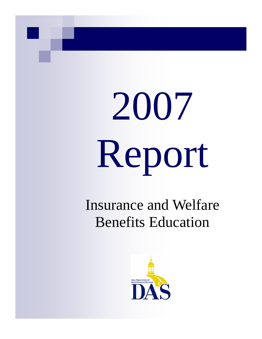# 2007 Report

# Insurance and Welfare Benefits Education

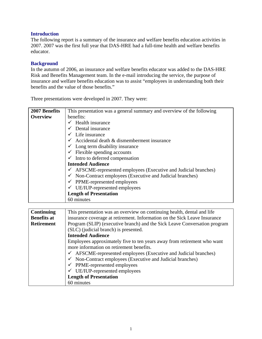#### **Introduction**

The following report is a summary of the insurance and welfare benefits education activities in 2007. 2007 was the first full year that DAS-HRE had a full-time health and welfare benefits educator.

#### **Background**

In the autumn of 2006, an insurance and welfare benefits educator was added to the DAS-HRE Risk and Benefits Management team. In the e-mail introducing the service, the purpose of insurance and welfare benefits education was to assist "employees in understanding both their benefits and the value of those benefits."

Three presentations were developed in 2007. They were:

| 2007 Benefits   | This presentation was a general summary and overview of the following |  |  |  |  |  |  |  |
|-----------------|-----------------------------------------------------------------------|--|--|--|--|--|--|--|
| <b>Overview</b> | benefits:                                                             |  |  |  |  |  |  |  |
|                 | Health insurance                                                      |  |  |  |  |  |  |  |
|                 | Dental insurance                                                      |  |  |  |  |  |  |  |
|                 | Life insurance                                                        |  |  |  |  |  |  |  |
|                 | Accidental death & dismemberment insurance                            |  |  |  |  |  |  |  |
|                 | $\checkmark$ Long term disability insurance                           |  |  |  |  |  |  |  |
|                 | $\checkmark$ Flexible spending accounts                               |  |  |  |  |  |  |  |
|                 | Intro to deferred compensation                                        |  |  |  |  |  |  |  |
|                 | <b>Intended Audience</b>                                              |  |  |  |  |  |  |  |
|                 | AFSCME-represented employees (Executive and Judicial branches)        |  |  |  |  |  |  |  |
|                 | Non-Contract employees (Executive and Judicial branches)              |  |  |  |  |  |  |  |
|                 | $\checkmark$ PPME-represented employees                               |  |  |  |  |  |  |  |
|                 | UE/IUP-represented employees                                          |  |  |  |  |  |  |  |
|                 | <b>Length of Presentation</b>                                         |  |  |  |  |  |  |  |
|                 | 60 minutes                                                            |  |  |  |  |  |  |  |

| <b>Continuing</b>  | This presentation was an overview on continuing health, dental and life     |  |  |  |  |  |  |  |
|--------------------|-----------------------------------------------------------------------------|--|--|--|--|--|--|--|
| <b>Benefits at</b> | insurance coverage at retirement. Information on the Sick Leave Insurance   |  |  |  |  |  |  |  |
| <b>Retirement</b>  | Program (SLIP) (executive branch) and the Sick Leave Conversation program   |  |  |  |  |  |  |  |
|                    | (SLC) (judicial branch) is presented.                                       |  |  |  |  |  |  |  |
|                    | <b>Intended Audience</b>                                                    |  |  |  |  |  |  |  |
|                    | Employees approximately five to ten years away from retirement who want     |  |  |  |  |  |  |  |
|                    | more information on retirement benefits.                                    |  |  |  |  |  |  |  |
|                    | $\checkmark$ AFSCME-represented employees (Executive and Judicial branches) |  |  |  |  |  |  |  |
|                    | $\checkmark$ Non-Contract employees (Executive and Judicial branches)       |  |  |  |  |  |  |  |
|                    | $\checkmark$ PPME-represented employees                                     |  |  |  |  |  |  |  |
|                    | $\checkmark$ UE/IUP-represented employees                                   |  |  |  |  |  |  |  |
|                    | <b>Length of Presentation</b>                                               |  |  |  |  |  |  |  |
|                    | 60 minutes                                                                  |  |  |  |  |  |  |  |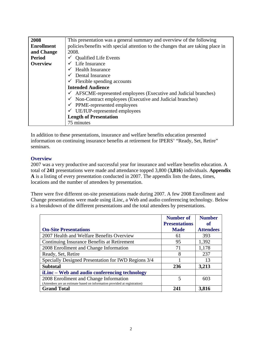| 2008              | This presentation was a general summary and overview of the following            |  |  |  |  |  |  |  |  |
|-------------------|----------------------------------------------------------------------------------|--|--|--|--|--|--|--|--|
| <b>Enrollment</b> | policies/benefits with special attention to the changes that are taking place in |  |  |  |  |  |  |  |  |
| and Change        | 2008.                                                                            |  |  |  |  |  |  |  |  |
| <b>Period</b>     | <b>Qualified Life Events</b>                                                     |  |  |  |  |  |  |  |  |
| <b>Overview</b>   | Life Insurance                                                                   |  |  |  |  |  |  |  |  |
|                   | Health Insurance                                                                 |  |  |  |  |  |  |  |  |
|                   | Dental Insurance                                                                 |  |  |  |  |  |  |  |  |
|                   | Flexible spending accounts                                                       |  |  |  |  |  |  |  |  |
|                   | <b>Intended Audience</b>                                                         |  |  |  |  |  |  |  |  |
|                   | AFSCME-represented employees (Executive and Judicial branches)                   |  |  |  |  |  |  |  |  |
|                   | Non-Contract employees (Executive and Judicial branches)                         |  |  |  |  |  |  |  |  |
|                   | PPME-represented employees                                                       |  |  |  |  |  |  |  |  |
|                   | UE/IUP-represented employees                                                     |  |  |  |  |  |  |  |  |
|                   | <b>Length of Presentation</b>                                                    |  |  |  |  |  |  |  |  |
|                   | 75 minutes                                                                       |  |  |  |  |  |  |  |  |

In addition to these presentations, insurance and welfare benefits education presented information on continuing insurance benefits at retirement for IPERS' "Ready, Set, Retire" seminars.

#### **Overview**

2007 was a very productive and successful year for insurance and welfare benefits education. A total of **241** presentations were made and attendance topped 3,800 (**3,816**) individuals. **Appendix A** is a listing of every presentation conducted in 2007. The appendix lists the dates, times, locations and the number of attendees by presentation.

There were five different on-site presentations made during 2007. A few 2008 Enrollment and Change presentations were made using iLinc, a Web and audio conferencing technology. Below is a breakdown of the different presentations and the total attendees by presentations.

|                                                                           | <b>Number of</b><br><b>Presentations</b> | <b>Number</b><br>of |
|---------------------------------------------------------------------------|------------------------------------------|---------------------|
| <b>On-Site Presentations</b>                                              | <b>Made</b>                              | <b>Attendees</b>    |
| 2007 Health and Welfare Benefits Overview                                 | 61                                       | 393                 |
| Continuing Insurance Benefits at Retirement                               | 95                                       | 1,392               |
| 2008 Enrollment and Change Information                                    | 71                                       | 1,178               |
| Ready, Set, Retire                                                        | 8                                        | 237                 |
| Specially Designed Presentation for IWD Regions 3/4                       |                                          | 13                  |
| <b>Subtotal</b>                                                           | 236                                      | 3,213               |
| iLinc – Web and audio conferencing technology                             |                                          |                     |
| 2008 Enrollment and Change Information                                    | 5                                        | 603                 |
| (Attendees are an estimate based on information provided at registration) |                                          |                     |
| <b>Grand Total</b>                                                        | 241                                      | 3,816               |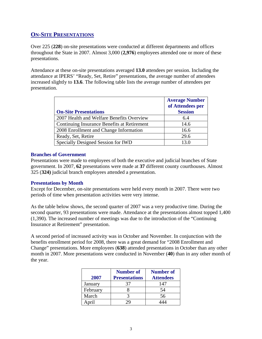#### **ON-SITE PRESENTATIONS**

Over 225 (**228**) on-site presentations were conducted at different departments and offices throughout the State in 2007. Almost 3,000 (**2,976**) employees attended one or more of these presentations.

Attendance at these on-site presentations averaged **13.0** attendees per session. Including the attendance at IPERS' "Ready, Set, Retire" presentations, the average number of attendees increased slightly to **13.6**. The following table lists the average number of attendees per presentation.

| <b>On-Site Presentations</b>                | <b>Average Number</b><br>of Attendees per<br><b>Session</b> |
|---------------------------------------------|-------------------------------------------------------------|
| 2007 Health and Welfare Benefits Overview   | 6.4                                                         |
| Continuing Insurance Benefits at Retirement | 14.6                                                        |
| 2008 Enrollment and Change Information      | 16.6                                                        |
| Ready, Set, Retire                          | 29.6                                                        |
| Specially Designed Session for IWD          |                                                             |

#### **Branches of Government**

Presentations were made to employees of both the executive and judicial branches of State government. In 2007, **62** presentations were made at **37** different county courthouses. Almost 325 (**324)** judicial branch employees attended a presentation.

#### **Presentations by Month**

Except for December, on-site presentations were held every month in 2007. There were two periods of time when presentation activities were very intense.

As the table below shows, the second quarter of 2007 was a very productive time. During the second quarter, 93 presentations were made. Attendance at the presentations almost topped 1,400 (1,390). The increased number of meetings was due to the introduction of the "Continuing Insurance at Retirement" presentation.

A second period of increased activity was in October and November. In conjunction with the benefits enrollment period for 2008, there was a great demand for "2008 Enrollment and Change" presentations. More employees (**638**) attended presentations in October than any other month in 2007. More presentations were conducted in November (**40**) than in any other month of the year.

|          | <b>Number of</b>     | <b>Number of</b> |
|----------|----------------------|------------------|
| 2007     | <b>Presentations</b> | <b>Attendees</b> |
| January  |                      | 147              |
| February |                      | 54               |
| March    |                      | 56               |
|          |                      |                  |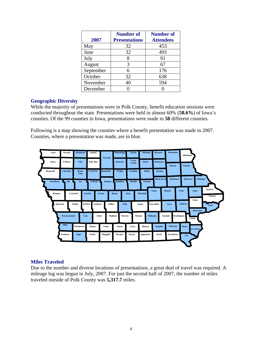|           | <b>Number of</b>     | <b>Number of</b> |
|-----------|----------------------|------------------|
| 2007      | <b>Presentations</b> | <b>Attendees</b> |
| May       | 32                   | 453              |
| June      | 32                   | 493              |
| July      |                      | 91               |
| August    | 3                    | 67               |
| September | 6                    | 176              |
| October   | 32                   | 638              |
| November  | 40                   | 594              |
| December  |                      |                  |

#### **Geographic Diversity**

While the majority of presentations were in Polk County, benefit education sessions were conducted throughout the state. Presentations were held in almost 60% (**58.6%**) of Iowa's counties. Of the 99 counties in Iowa, presentations were made in **58** different counties.

Following is a map showing the counties where a benefit presentation was made in 2007. Counties, where a presentation was made, are in blue.



#### **Miles Traveled**

Due to the number and diverse locations of presentations, a great deal of travel was required. A mileage log was begun in July, 2007. For just the second half of 2007, the number of miles traveled outside of Polk County was **5,317.7** miles.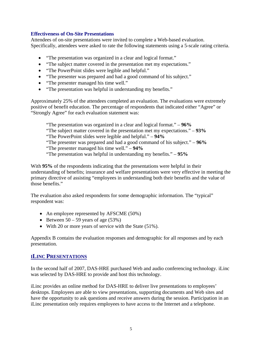#### **Effectiveness of On-Site Presentations**

Attendees of on-site presentations were invited to complete a Web-based evaluation. Specifically, attendees were asked to rate the following statements using a 5-scale rating criteria.

- "The presentation was organized in a clear and logical format."
- "The subject matter covered in the presentation met my expectations."
- "The PowerPoint slides were legible and helpful."
- "The presenter was prepared and had a good command of his subject."
- "The presenter managed his time well."
- "The presentation was helpful in understanding my benefits."

Approximately 25% of the attendees completed an evaluation. The evaluations were extremely positive of benefit education. The percentage of respondents that indicated either "Agree" or "Strongly Agree" for each evaluation statement was:

"The presentation was organized in a clear and logical format." – **96%**

"The subject matter covered in the presentation met my expectations." – **93%**

"The PowerPoint slides were legible and helpful." – **94%**

"The presenter was prepared and had a good command of his subject." – **96%**

"The presenter managed his time well." – **94%**

"The presentation was helpful in understanding my benefits." – **95%**

With **95%** of the respondents indicating that the presentations were helpful in their understanding of benefits; insurance and welfare presentations were very effective in meeting the primary directive of assisting "employees in understanding both their benefits and the value of those benefits."

The evaluation also asked respondents for some demographic information. The "typical" respondent was:

- An employee represented by AFSCME (50%)
- Between  $50 59$  years of age  $(53%)$
- With 20 or more years of service with the State (51%).

Appendix B contains the evaluation responses and demographic for all responses and by each presentation.

#### **ILINC PRESENTATIONS**

In the second half of 2007, DAS-HRE purchased Web and audio conferencing technology. iLinc was selected by DAS-HRE to provide and host this technology.

iLinc provides an online method for DAS-HRE to deliver live presentations to employees' desktops. Employees are able to view presentations, supporting documents and Web sites and have the opportunity to ask questions and receive answers during the session. Participation in an iLinc presentation only requires employees to have access to the Internet and a telephone.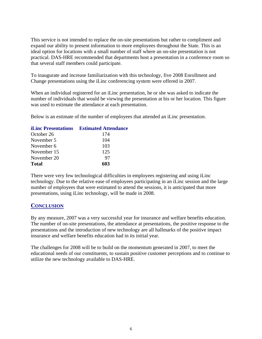This service is not intended to replace the on-site presentations but rather to compliment and expand our ability to present information to more employees throughout the State. This is an ideal option for locations with a small number of staff where an on-site presentation is not practical. DAS-HRE recommended that departments host a presentation in a conference room so that several staff members could participate.

To inaugurate and increase familiarization with this technology, five 2008 Enrollment and Change presentations using the iLinc conferencing system were offered in 2007.

When an individual registered for an iLinc presentation, he or she was asked to indicate the number of individuals that would be viewing the presentation at his or her location. This figure was used to estimate the attendance at each presentation.

Below is an estimate of the number of employees that attended an iLinc presentation.

|             | <b>iLinc Presentations</b> Estimated Attendance |
|-------------|-------------------------------------------------|
| October 26  | 174                                             |
| November 5  | 104                                             |
| November 6  | 103                                             |
| November 15 | 125                                             |
| November 20 | 97                                              |
| Total       | 603                                             |

There were very few technological difficulties in employees registering and using iLinc technology. Due to the relative ease of employees participating in an iLinc session and the large number of employees that were estimated to attend the sessions, it is anticipated that more presentations, using iLinc technology, will be made in 2008.

#### **CONCLUSION**

By any measure, 2007 was a very successful year for insurance and welfare benefits education. The number of on-site presentations, the attendance at presentations, the positive response to the presentations and the introduction of new technology are all hallmarks of the positive impact insurance and welfare benefits education had in its initial year.

The challenges for 2008 will be to build on the momentum generated in 2007, to meet the educational needs of our constituents, to sustain positive customer perceptions and to continue to utilize the new technology available to DAS-HRE.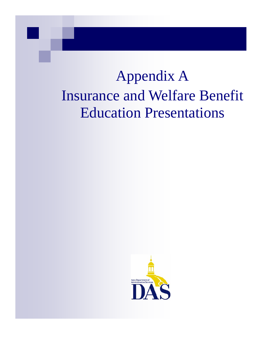# Appendix A Insurance and Welfare Benefit Education Presentations

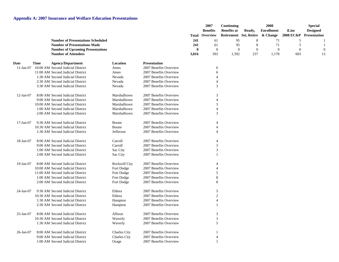|                 |             |                                                                                 |                      |                        |            | 2007<br><b>Benefits</b><br>Overview | Continuing<br><b>Benefits at</b> | Ready,       | 2008<br><b>Enrollment</b> | iLinc<br><b>2008 EC&amp;P</b> | <b>Special</b><br><b>Designed</b><br>Presentation |
|-----------------|-------------|---------------------------------------------------------------------------------|----------------------|------------------------|------------|-------------------------------------|----------------------------------|--------------|---------------------------|-------------------------------|---------------------------------------------------|
|                 |             |                                                                                 |                      |                        | Total      |                                     | Retirement Set, Retire           |              | & Change                  |                               |                                                   |
|                 |             | <b>Number of Presentations Scheduled</b><br><b>Number of Presentations Made</b> |                      |                        | 241<br>241 | 61<br>61                            | 95<br>95                         | 8<br>8       | 71<br>71                  | $\sqrt{5}$<br>5               |                                                   |
|                 |             | <b>Number of Upcoming Presentations</b>                                         |                      |                        | $\theta$   | $\mathbf{0}$                        | $\overline{0}$                   | $\mathbf{0}$ | $\boldsymbol{0}$          | $\mathbf{0}$                  |                                                   |
|                 |             | <b>Number of Attendees</b>                                                      |                      |                        | 3,816      | 393                                 | 1,392                            | 237          | 1,178                     | 603                           | 13                                                |
| <b>Date</b>     | <b>Time</b> | <b>Agency/Department</b>                                                        | Location             | <b>Presentation</b>    |            |                                     |                                  |              |                           |                               |                                                   |
| $11-Jan-07$     |             | 10:00 AM Second Judicial District                                               | Ames                 | 2007 Benefits Overview |            | 6                                   |                                  |              |                           |                               |                                                   |
|                 |             | 11:00 AM Second Judicial District                                               | Ames                 | 2007 Benefits Overview |            | 6                                   |                                  |              |                           |                               |                                                   |
|                 |             | 1:30 AM Second Judicial District                                                | Nevada               | 2007 Benefits Overview |            | $\overline{4}$                      |                                  |              |                           |                               |                                                   |
|                 |             | 2:30 AM Second Judicial District                                                | Nevada               | 2007 Benefits Overview |            |                                     |                                  |              |                           |                               |                                                   |
|                 |             | 3:30 AM Second Judicial District                                                | Nevada               | 2007 Benefits Overview |            | 3                                   |                                  |              |                           |                               |                                                   |
| $12-Jan-07$     |             | 8:00 AM Second Judicial District                                                | Marshalltown         | 2007 Benefits Overview |            | 3                                   |                                  |              |                           |                               |                                                   |
|                 |             | 9:00 AM Second Judicial District                                                | Marshalltown         | 2007 Benefits Overview |            | $\Delta$                            |                                  |              |                           |                               |                                                   |
|                 |             | 10:00 AM Second Judicial District                                               | Marshalltown         | 2007 Benefits Overview |            | 3                                   |                                  |              |                           |                               |                                                   |
|                 |             | 1:00 AM Second Judicial District                                                | Marshalltown         | 2007 Benefits Overview |            |                                     |                                  |              |                           |                               |                                                   |
|                 |             | 2:00 AM Second Judicial District                                                | Marshalltown         | 2007 Benefits Overview |            | 3                                   |                                  |              |                           |                               |                                                   |
| $17$ -Jan- $07$ |             | 9:30 AM Second Judicial District                                                | Boone                | 2007 Benefits Overview |            | 4                                   |                                  |              |                           |                               |                                                   |
|                 |             | 10:30 AM Second Judicial District                                               | Boone                | 2007 Benefits Overview |            |                                     |                                  |              |                           |                               |                                                   |
|                 |             | 1:30 AM Second Judicial District                                                | Jefferson            | 2007 Benefits Overview |            | Δ                                   |                                  |              |                           |                               |                                                   |
| 18-Jan-07       |             | 8:00 AM Second Judicial District                                                | Carroll              | 2007 Benefits Overview |            |                                     |                                  |              |                           |                               |                                                   |
|                 |             | 9:00 AM Second Judicial District                                                | Carroll              | 2007 Benefits Overview |            | 3                                   |                                  |              |                           |                               |                                                   |
|                 |             | 1:00 AM Second Judicial District                                                | Sac City             | 2007 Benefits Overview |            | 3                                   |                                  |              |                           |                               |                                                   |
|                 |             | 2:00 AM Second Judicial District                                                | Sac City             | 2007 Benefits Overview |            |                                     |                                  |              |                           |                               |                                                   |
| $19$ -Jan-07    |             | 8:00 AM Second Judicial District                                                | <b>Rockwill City</b> | 2007 Benefits Overview |            |                                     |                                  |              |                           |                               |                                                   |
|                 |             | 10:00 AM Second Judicial District                                               | Fort Dodge           | 2007 Benefits Overview |            |                                     |                                  |              |                           |                               |                                                   |
|                 |             | 11:00 AM Second Judicial District                                               | Fort Dodge           | 2007 Benefits Overview |            | 5                                   |                                  |              |                           |                               |                                                   |
|                 |             | 1:00 AM Second Judicial District                                                | Fort Dodge           | 2007 Benefits Overview |            | 8                                   |                                  |              |                           |                               |                                                   |
|                 |             | 2:00 AM Second Judicial District                                                | Fort Dodge           | 2007 Benefits Overview |            | 8                                   |                                  |              |                           |                               |                                                   |
| $24$ -Jan-07    |             | 9:30 AM Second Judicial District                                                | Eldora               | 2007 Benefits Overview |            | 5                                   |                                  |              |                           |                               |                                                   |
|                 |             | 10:30 AM Second Judicial District                                               | Eldora               | 2007 Benefits Overview |            | $\mathfrak{2}$                      |                                  |              |                           |                               |                                                   |
|                 |             | 1:30 AM Second Judicial District                                                | Hampton              | 2007 Benefits Overview |            | $\overline{4}$                      |                                  |              |                           |                               |                                                   |
|                 |             | 2:30 AM Second Judicial District                                                | Hampton              | 2007 Benefits Overview |            |                                     |                                  |              |                           |                               |                                                   |
| $25$ -Jan-07    |             | 8:00 AM Second Judicial District                                                | Allison              | 2007 Benefits Overview |            | 3                                   |                                  |              |                           |                               |                                                   |
|                 |             | 10:30 AM Second Judicial District                                               | Waverly              | 2007 Benefits Overview |            | 3                                   |                                  |              |                           |                               |                                                   |
|                 |             | 1:30 AM Second Judicial District                                                | Waverly              | 2007 Benefits Overview |            | 5                                   |                                  |              |                           |                               |                                                   |
| $26$ -Jan-07    |             | 8:00 AM Second Judicial District                                                | <b>Charles City</b>  | 2007 Benefits Overview |            |                                     |                                  |              |                           |                               |                                                   |
|                 |             | 9:00 AM Second Judicial District                                                | Charles City         | 2007 Benefits Overview |            | $\overline{4}$                      |                                  |              |                           |                               |                                                   |
|                 |             | 1:00 AM Second Judicial District                                                | Osage                | 2007 Benefits Overview |            |                                     |                                  |              |                           |                               |                                                   |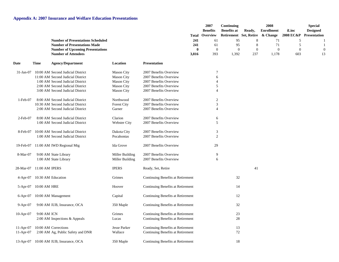|             |                          |                                                                                 |                     |                                   | Total                  | 2007<br><b>Benefits</b><br>Overview | Continuing<br><b>Benefits at</b><br>Retirement Set, Retire | Ready,              | 2008<br><b>Enrollment</b><br>& Change | iLinc<br><b>2008 EC&amp;P</b> | <b>Special</b><br><b>Designed</b><br><b>Presentation</b> |
|-------------|--------------------------|---------------------------------------------------------------------------------|---------------------|-----------------------------------|------------------------|-------------------------------------|------------------------------------------------------------|---------------------|---------------------------------------|-------------------------------|----------------------------------------------------------|
|             |                          | <b>Number of Presentations Scheduled</b><br><b>Number of Presentations Made</b> |                     |                                   | 241<br>241<br>$\bf{0}$ | 61<br>61<br>$\mathbf{0}$            | 95<br>95<br>$\boldsymbol{0}$                               | 8<br>8              | 71<br>71<br>$\mathbf{0}$              | 5<br>5<br>$\mathbf{0}$        |                                                          |
|             |                          | <b>Number of Upcoming Presentations</b><br><b>Number of Attendees</b>           |                     |                                   | 3,816                  | 393                                 | 1,392                                                      | $\mathbf{0}$<br>237 | 1,178                                 | 603                           | 13                                                       |
| Date        | Time                     | <b>Agency/Department</b>                                                        | Location            | <b>Presentation</b>               |                        |                                     |                                                            |                     |                                       |                               |                                                          |
| $31-Jan-07$ |                          | 10:00 AM Second Judicial District                                               | <b>Mason City</b>   | 2007 Benefits Overview            |                        | $\overline{7}$                      |                                                            |                     |                                       |                               |                                                          |
|             |                          | 11:00 AM Second Judicial District                                               | <b>Mason City</b>   | 2007 Benefits Overview            |                        | 6                                   |                                                            |                     |                                       |                               |                                                          |
|             |                          | 1:00 AM Second Judicial District                                                | <b>Mason City</b>   | 2007 Benefits Overview            |                        | $\overline{4}$                      |                                                            |                     |                                       |                               |                                                          |
|             |                          | 2:00 AM Second Judicial District                                                | <b>Mason City</b>   | 2007 Benefits Overview            |                        | 5                                   |                                                            |                     |                                       |                               |                                                          |
|             |                          | 3:00 AM Second Judicial District                                                | <b>Mason City</b>   | 2007 Benefits Overview            |                        | $\overline{4}$                      |                                                            |                     |                                       |                               |                                                          |
| 1-Feb-07    |                          | 8:00 AM Second Judicial District                                                | Northwood           | 2007 Benefits Overview            |                        | 2                                   |                                                            |                     |                                       |                               |                                                          |
|             |                          | 10:30 AM Second Judicial District                                               | <b>Forest City</b>  | 2007 Benefits Overview            |                        | 3                                   |                                                            |                     |                                       |                               |                                                          |
|             |                          | 2:00 AM Second Judicial District                                                | Garner              | 2007 Benefits Overview            |                        | $\boldsymbol{\varDelta}$            |                                                            |                     |                                       |                               |                                                          |
| 2-Feb-07    |                          | 8:00 AM Second Judicial District                                                | Clarion             | 2007 Benefits Overview            |                        | 6                                   |                                                            |                     |                                       |                               |                                                          |
|             |                          | 1:00 AM Second Judicial District                                                | <b>Webster City</b> | 2007 Benefits Overview            |                        | 5                                   |                                                            |                     |                                       |                               |                                                          |
| 8-Feb-07    |                          | 10:00 AM Second Judicial District                                               | Dakota City         | 2007 Benefits Overview            |                        | 3                                   |                                                            |                     |                                       |                               |                                                          |
|             |                          | 1:00 AM Second Judicial District                                                | Pocahontas          | 2007 Benefits Overview            |                        | $\overline{c}$                      |                                                            |                     |                                       |                               |                                                          |
|             |                          | 19-Feb-07 11:00 AM IWD Regional Mtg                                             | Ida Grove           | 2007 Benefits Overview            |                        | 29                                  |                                                            |                     |                                       |                               |                                                          |
| 8-Mar-07    |                          | 9:00 AM State Library                                                           | Miller Building     | 2007 Benefits Overview            |                        | 9                                   |                                                            |                     |                                       |                               |                                                          |
|             |                          | 1:00 AM State Library                                                           | Miller Building     | 2007 Benefits Overview            |                        | 6                                   |                                                            |                     |                                       |                               |                                                          |
|             | 28-Mar-07 11:00 AM IPERS |                                                                                 | <b>IPERS</b>        | Ready, Set, Retire                |                        |                                     |                                                            | 41                  |                                       |                               |                                                          |
| $4-Apr-07$  |                          | 10:30 AM Education                                                              | Grimes              | Continuing Benefits at Retirement |                        |                                     | 32                                                         |                     |                                       |                               |                                                          |
| 5-Apr-07    | 10:00 AM HRE             |                                                                                 | Hoover              | Continuing Benefits at Retirement |                        |                                     | 14                                                         |                     |                                       |                               |                                                          |
| $6-Apr-07$  |                          | 10:00 AM Management                                                             | Capital             | Continuing Benefits at Retirement |                        |                                     | 12                                                         |                     |                                       |                               |                                                          |
| $9-Apr-07$  |                          | 9:00 AM IUB, Insurance, OCA                                                     | 350 Maple           | Continuing Benefits at Retirement |                        |                                     | 32                                                         |                     |                                       |                               |                                                          |
| 10-Apr-07   | 9:00 AM ICN              |                                                                                 | Grimes              | Continuing Benefits at Retirement |                        |                                     | 23                                                         |                     |                                       |                               |                                                          |
|             |                          | 2:00 AM Inspections & Appeals                                                   | Lucas               | Continuing Benefits at Retirement |                        |                                     | 28                                                         |                     |                                       |                               |                                                          |
| $11-Apr-07$ |                          | 10:00 AM Corrections                                                            | Jesse Parker        | Continuing Benefits at Retirement |                        |                                     | 13                                                         |                     |                                       |                               |                                                          |
| $11-Apr-07$ |                          | 2:00 AM Ag, Public Safety and DNR                                               | Wallace             | Continuing Benefits at Retirement |                        |                                     | 72                                                         |                     |                                       |                               |                                                          |
|             |                          | 13-Apr-07 10:00 AM IUB, Insurance, OCA                                          | 350 Maple           | Continuing Benefits at Retirement |                        |                                     | 18                                                         |                     |                                       |                               |                                                          |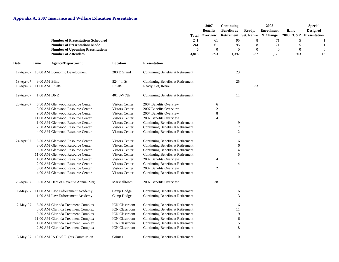|              |                |                                           |                       | Total                             | 2007<br><b>Benefits</b><br>Overview | Continuing<br><b>Benefits at</b><br>Retirement Set, Retire | Ready,       | 2008<br><b>Enrollment</b><br>& Change | iLinc<br>2008 EC&P | <b>Special</b><br><b>Designed</b><br>Presentation |
|--------------|----------------|-------------------------------------------|-----------------------|-----------------------------------|-------------------------------------|------------------------------------------------------------|--------------|---------------------------------------|--------------------|---------------------------------------------------|
|              |                | <b>Number of Presentations Scheduled</b>  |                       | 241                               | 61                                  | 95                                                         | $8\,$        | 71                                    | 5                  |                                                   |
|              |                | <b>Number of Presentations Made</b>       |                       | 241                               | 61                                  | 95                                                         | $8\,$        | 71                                    | 5                  |                                                   |
|              |                | <b>Number of Upcoming Presentations</b>   |                       | $\bf{0}$                          | $\mathbf{0}$                        | $\mathbf{0}$                                               | $\mathbf{0}$ | $\theta$                              | $\overline{0}$     |                                                   |
|              |                | <b>Number of Attendees</b>                |                       | 3,816                             | 393                                 | 1,392                                                      | 237          | 1,178                                 | 603                | 13                                                |
| Date         | Time           | <b>Agency/Department</b>                  | Location              | <b>Presentation</b>               |                                     |                                                            |              |                                       |                    |                                                   |
| 17-Apr-07    |                | 10:00 AM Economic Development             | 200 E Grand           | Continuing Benefits at Retirement |                                     | 23                                                         |              |                                       |                    |                                                   |
| $18-Apr-07$  | 9:00 AM Blind  |                                           | 524 4th St            | Continuing Benefits at Retirement |                                     | 25                                                         |              |                                       |                    |                                                   |
| 18-Apr-07    | 11:00 AM IPERS |                                           | <b>IPERS</b>          | Ready, Set, Retire                |                                     |                                                            | 33           |                                       |                    |                                                   |
| 19-Apr-07    | 1:00 AM DNR    |                                           | 401 SW 7th            | Continuing Benefits at Retirement |                                     | 11                                                         |              |                                       |                    |                                                   |
| $23$ -Apr-07 |                | 6:30 AM Glenwood Resource Center          | <b>Vistors Center</b> | 2007 Benefits Overview            | 6                                   |                                                            |              |                                       |                    |                                                   |
|              |                | 8:00 AM Glenwood Resource Center          | <b>Vistors Center</b> | 2007 Benefits Overview            | $\overline{c}$                      |                                                            |              |                                       |                    |                                                   |
|              |                | 9:30 AM Glenwood Resource Center          | <b>Vistors Center</b> | 2007 Benefits Overview            | 8                                   |                                                            |              |                                       |                    |                                                   |
|              |                | 11:00 AM Glenwood Resource Center         | <b>Vistors Center</b> | 2007 Benefits Overview            |                                     |                                                            |              |                                       |                    |                                                   |
|              |                | 1:00 AM Glenwood Resource Center          | <b>Vistors Center</b> | Continuing Benefits at Retirement |                                     | 9                                                          |              |                                       |                    |                                                   |
|              |                | 2:30 AM Glenwood Resource Center          | Vistors Center        | Continuing Benefits at Retirement |                                     | $\boldsymbol{7}$                                           |              |                                       |                    |                                                   |
|              |                | 4:00 AM Glenwood Resource Center          | Vistors Center        | Continuing Benefits at Retirement |                                     | 2                                                          |              |                                       |                    |                                                   |
| $24$ -Apr-07 |                | 6:30 AM Glenwood Resource Center          | Vistors Center        | Continuing Benefits at Retirement |                                     | 6                                                          |              |                                       |                    |                                                   |
|              |                | 8:00 AM Glenwood Resource Center          | <b>Vistors Center</b> | Continuing Benefits at Retirement |                                     | 6                                                          |              |                                       |                    |                                                   |
|              |                | 9:30 AM Glenwood Resource Center          | <b>Vistors Center</b> | Continuing Benefits at Retirement |                                     | 4                                                          |              |                                       |                    |                                                   |
|              |                | 11:00 AM Glenwood Resource Center         | <b>Vistors Center</b> | Continuing Benefits at Retirement |                                     | 5                                                          |              |                                       |                    |                                                   |
|              |                | 1:00 AM Glenwood Resource Center          | <b>Vistors Center</b> | 2007 Benefits Overview            | 4                                   |                                                            |              |                                       |                    |                                                   |
|              |                | 2:00 AM Glenwood Resource Center          | <b>Vistors Center</b> | Continuing Benefits at Retirement |                                     | $\overline{4}$                                             |              |                                       |                    |                                                   |
|              |                | 3:00 AM Glenwood Resource Center          | <b>Vistors Center</b> | 2007 Benefits Overview            | $\overline{c}$                      |                                                            |              |                                       |                    |                                                   |
|              |                | 4:00 AM Glenwood Resource Center          | <b>Vistors Center</b> | Continuing Benefits at Retirement |                                     | 1                                                          |              |                                       |                    |                                                   |
| $26$ -Apr-07 |                | 9:30 AM Dept of Revenue Annual Mtg        | Marshalltown          | 2007 Benefits Overview            | 38                                  |                                                            |              |                                       |                    |                                                   |
|              |                | 1-May-07 11:00 AM Law Enforcement Academy | Camp Dodge            | Continuing Benefits at Retirement |                                     | 6                                                          |              |                                       |                    |                                                   |
|              |                | 1:00 AM Law Enforcement Academy           | Camp Dodge            | Continuing Benefits at Retirement |                                     | 3                                                          |              |                                       |                    |                                                   |
| $2-May-07$   |                | 6:30 AM Clarinda Treatment Complex        | <b>ICN Classroom</b>  | Continuing Benefits at Retirement |                                     | 6                                                          |              |                                       |                    |                                                   |
|              |                | 8:00 AM Clarinda Treatment Complex        | <b>ICN Classroom</b>  | Continuing Benefits at Retirement |                                     | 11                                                         |              |                                       |                    |                                                   |
|              |                | 9:30 AM Clarinda Treatment Complex        | <b>ICN Classroom</b>  | Continuing Benefits at Retirement |                                     | 9                                                          |              |                                       |                    |                                                   |
|              |                | 11:00 AM Clarinda Treatment Complex       | <b>ICN Classroom</b>  | Continuing Benefits at Retirement |                                     | 6                                                          |              |                                       |                    |                                                   |
|              |                | 1:00 AM Clarinda Treatment Complex        | <b>ICN Classroom</b>  | Continuing Benefits at Retirement |                                     | 5                                                          |              |                                       |                    |                                                   |
|              |                | 2:30 AM Clarinda Treatment Complex        | <b>ICN Classroom</b>  | Continuing Benefits at Retirement |                                     | 8                                                          |              |                                       |                    |                                                   |
| $3-May-07$   |                | 10:00 AM IA Civil Rights Commission       | Grimes                | Continuing Benefits at Retirement |                                     | 10                                                         |              |                                       |                    |                                                   |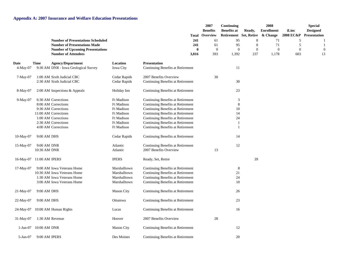|                  |                          |                                                                                 |                          |                                                                        |                   | 2007<br><b>Benefits</b><br><b>Total Overview</b> | Continuing<br><b>Benefits at</b><br>Retirement Set, Retire | Ready,                  | 2008<br><b>Enrollment</b><br>& Change | iLinc<br>2008 EC&P  | <b>Special</b><br><b>Designed</b><br><b>Presentation</b> |
|------------------|--------------------------|---------------------------------------------------------------------------------|--------------------------|------------------------------------------------------------------------|-------------------|--------------------------------------------------|------------------------------------------------------------|-------------------------|---------------------------------------|---------------------|----------------------------------------------------------|
|                  |                          | <b>Number of Presentations Scheduled</b><br><b>Number of Presentations Made</b> |                          |                                                                        | 241<br>241        | 61<br>61                                         | 95<br>95                                                   | 8<br>8                  | 71<br>71                              | 5<br>5              |                                                          |
|                  |                          | <b>Number of Upcoming Presentations</b><br><b>Number of Attendees</b>           |                          |                                                                        | $\bf{0}$<br>3,816 | $\boldsymbol{0}$<br>393                          | $\mathbf{0}$<br>1,392                                      | $\boldsymbol{0}$<br>237 | $\boldsymbol{0}$<br>1,178             | $\mathbf{0}$<br>603 | 13                                                       |
| Date<br>4-May-07 | <b>Time</b>              | <b>Agency/Department</b><br>9:30 AM DNR - Iowa Geological Survey                | Location<br>Iowa City    | <b>Presentation</b><br>Continuing Benefits at Retirement               |                   |                                                  | 11                                                         |                         |                                       |                     |                                                          |
| $7-May-07$       |                          | 1:00 AM Sixth Judicial CBC                                                      | Cedar Rapids             | 2007 Benefits Overview                                                 |                   | 30                                               |                                                            |                         |                                       |                     |                                                          |
|                  |                          | 2:30 AM Sixth Judicial CBC                                                      | Cedar Rapids             | Continuing Benefits at Retirement                                      |                   |                                                  | 30                                                         |                         |                                       |                     |                                                          |
| 8-May-07         |                          | 2:00 AM Inspections & Appeals                                                   | Holiday Inn              | Continuing Benefits at Retirement                                      |                   |                                                  | 23                                                         |                         |                                       |                     |                                                          |
| 9-May-07         |                          | 6:30 AM Corrections                                                             | <b>Ft Madison</b>        | Continuing Benefits at Retirement                                      |                   |                                                  | 3                                                          |                         |                                       |                     |                                                          |
|                  |                          | 8:00 AM Corrections                                                             | Ft Madison               | Continuing Benefits at Retirement                                      |                   |                                                  | $8\,$                                                      |                         |                                       |                     |                                                          |
|                  |                          | 9:30 AM Corrections                                                             | Ft Madison               | Continuing Benefits at Retirement                                      |                   |                                                  | 10                                                         |                         |                                       |                     |                                                          |
|                  |                          | 11:00 AM Corrections                                                            | Ft Madison               | Continuing Benefits at Retirement                                      |                   |                                                  | 14                                                         |                         |                                       |                     |                                                          |
|                  |                          | 1:00 AM Corrections<br>2:30 AM Corrections                                      | Ft Madison               | Continuing Benefits at Retirement                                      |                   |                                                  | 24<br>$\mathbf{1}$                                         |                         |                                       |                     |                                                          |
|                  |                          | 4:00 AM Corrections                                                             | Ft Madison<br>Ft Madison | Continuing Benefits at Retirement<br>Continuing Benefits at Retirement |                   |                                                  | 1                                                          |                         |                                       |                     |                                                          |
|                  |                          |                                                                                 |                          |                                                                        |                   |                                                  |                                                            |                         |                                       |                     |                                                          |
| $10$ -May-07     | 9:00 AM DHS              |                                                                                 | Cedar Rapids             | Continuing Benefits at Retirement                                      |                   |                                                  | 14                                                         |                         |                                       |                     |                                                          |
| $15$ -May-07     | 9:00 AM DNR              |                                                                                 | Atlantic                 | Continuing Benefits at Retirement                                      |                   |                                                  | 12                                                         |                         |                                       |                     |                                                          |
|                  | 10:30 AM DNR             |                                                                                 | Atlantic                 | 2007 Benefits Overview                                                 |                   | 13                                               |                                                            |                         |                                       |                     |                                                          |
|                  | 16-May-07 11:00 AM IPERS |                                                                                 | <b>IPERS</b>             | Ready, Set, Retire                                                     |                   |                                                  |                                                            | 39                      |                                       |                     |                                                          |
| 17-May-07        |                          | 9:00 AM Iowa Veterans Home                                                      | Marshalltown             | Continuing Benefits at Retirement                                      |                   |                                                  | 8                                                          |                         |                                       |                     |                                                          |
|                  |                          | 10:30 AM Iowa Veterans Home                                                     | Marshalltown             | Continuing Benefits at Retirement                                      |                   |                                                  | 21                                                         |                         |                                       |                     |                                                          |
|                  |                          | 1:30 AM Iowa Veterans Home                                                      | Marshalltown             | Continuing Benefits at Retirement                                      |                   |                                                  | 24                                                         |                         |                                       |                     |                                                          |
|                  |                          | 3:00 AM Iowa Veterans Home                                                      | Marshalltown             | Continuing Benefits at Retirement                                      |                   |                                                  | 10                                                         |                         |                                       |                     |                                                          |
| $21-May-07$      | 9:00 AM DHS              |                                                                                 | <b>Mason City</b>        | Continuing Benefits at Retirement                                      |                   |                                                  | 26                                                         |                         |                                       |                     |                                                          |
| 22-May-07        | 9:00 AM DHS              |                                                                                 | Ottumwa                  | Continuing Benefits at Retirement                                      |                   |                                                  | 23                                                         |                         |                                       |                     |                                                          |
| 24-May-07        |                          | 10:00 AM Human Rights                                                           | Lucas                    | Continuing Benefits at Retirement                                      |                   |                                                  | 16                                                         |                         |                                       |                     |                                                          |
| $31-May-07$      | 1:30 AM Revenue          |                                                                                 | Hoover                   | 2007 Benefits Overview                                                 |                   | 28                                               |                                                            |                         |                                       |                     |                                                          |
| 1-Jun-07         | 10:00 AM DNR             |                                                                                 | <b>Mason City</b>        | Continuing Benefits at Retirement                                      |                   |                                                  | 12                                                         |                         |                                       |                     |                                                          |
| $5$ -Jun-07      | 9:00 AM IPERS            |                                                                                 | Des Moines               | Continuing Benefits at Retirement                                      |                   |                                                  | 20                                                         |                         |                                       |                     |                                                          |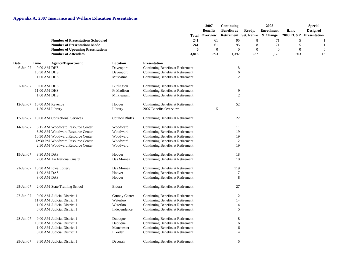|              |                  |                                          |                       |                                   | 2007<br><b>Benefits</b> | Continuing<br><b>Benefits at</b> | Ready,       | 2008<br><b>Enrollment</b> | iLinc        | <b>Special</b><br><b>Designed</b> |
|--------------|------------------|------------------------------------------|-----------------------|-----------------------------------|-------------------------|----------------------------------|--------------|---------------------------|--------------|-----------------------------------|
|              |                  |                                          |                       | Total                             | Overview                | Retirement Set, Retire           |              | & Change                  | 2008 EC&P    | Presentation                      |
|              |                  | <b>Number of Presentations Scheduled</b> |                       | 241                               | 61                      | 95                               | 8            | 71                        | 5            |                                   |
|              |                  | <b>Number of Presentations Made</b>      |                       | 241                               | 61                      | 95                               | 8            | 71                        | 5            |                                   |
|              |                  | <b>Number of Upcoming Presentations</b>  |                       | $\bf{0}$                          | $\boldsymbol{0}$        | $\boldsymbol{0}$                 | $\mathbf{0}$ | $\boldsymbol{0}$          | $\mathbf{0}$ |                                   |
|              |                  | <b>Number of Attendees</b>               |                       | 3,816                             | 393                     | 1,392                            | 237          | 1,178                     | 603          | 13                                |
| Date         | <b>Time</b>      | <b>Agency/Department</b>                 | Location              | <b>Presentation</b>               |                         |                                  |              |                           |              |                                   |
| $6$ -Jun-07  | 9:00 AM DHS      |                                          | Davenport             | Continuing Benefits at Retirement |                         | 18                               |              |                           |              |                                   |
|              | 10:30 AM DHS     |                                          | Davenport             | Continuing Benefits at Retirement |                         | 6                                |              |                           |              |                                   |
|              | 1:00 AM DHS      |                                          | Muscatine             | Continuing Benefits at Retirement |                         | $\overline{2}$                   |              |                           |              |                                   |
| $7-Jun-07$   | 9:00 AM DHS      |                                          | Burlington            | Continuing Benefits at Retirement |                         | 11                               |              |                           |              |                                   |
|              | 11:00 AM DHS     |                                          | Ft Madison            | Continuing Benefits at Retirement |                         | 9                                |              |                           |              |                                   |
|              | 1:00 AM DHS      |                                          | Mt Pleasant           | Continuing Benefits at Retirement |                         | $\overline{c}$                   |              |                           |              |                                   |
| $12$ -Jun-07 | 10:00 AM Revenue |                                          | Hoover                | Continuing Benefits at Retirement |                         | 52                               |              |                           |              |                                   |
|              | 1:30 AM Library  |                                          | Library               | 2007 Benefits Overview            | 5                       |                                  |              |                           |              |                                   |
| $13$ -Jun-07 |                  | 10:00 AM Correctional Services           | <b>Council Bluffs</b> | Continuing Benefits at Retirement |                         | 22                               |              |                           |              |                                   |
| $14$ -Jun-07 |                  | 6:15 AM Woodward Resource Center         | Woodward              | Continuing Benefits at Retirement |                         | 11                               |              |                           |              |                                   |
|              |                  | 8:30 AM Woodward Resource Center         | Woodward              | Continuing Benefits at Retirement |                         | 19                               |              |                           |              |                                   |
|              |                  | 10:30 AM Woodward Resource Center        | Woodward              | Continuing Benefits at Retirement |                         | 19                               |              |                           |              |                                   |
|              |                  | 12:30 PM Woodward Resource Center        | Woodward              | Continuing Benefits at Retirement |                         | 12                               |              |                           |              |                                   |
|              |                  | 2:30 AM Woodward Resource Center         | Woodward              | Continuing Benefits at Retirement |                         | 19                               |              |                           |              |                                   |
| 19-Jun-07    | 8:30 AM DAS      |                                          | Hoover                | Continuing Benefits at Retirement |                         | 18                               |              |                           |              |                                   |
|              |                  | 2:00 AM Air National Guard               | Des Moines            | Continuing Benefits at Retirement |                         | 10                               |              |                           |              |                                   |
| 21-Jun-07    |                  | 10:30 AM Iowa Lottery                    | Des Moines            | Continuing Benefits at Retirement |                         | 119                              |              |                           |              |                                   |
|              | 1:00 AM DAS      |                                          | Hoover                | Continuing Benefits at Retirement |                         | 17                               |              |                           |              |                                   |
|              | 3:00 AM DAS      |                                          | Hoover                | Continuing Benefits at Retirement |                         | 8                                |              |                           |              |                                   |
| 25-Jun-07    |                  | 2:00 AM State Training School            | Eldora                | Continuing Benefits at Retirement |                         | 27                               |              |                           |              |                                   |
| 27-Jun-07    |                  | 9:00 AM Judicial District 1              | <b>Grundy Center</b>  | Continuing Benefits at Retirement |                         | $\mathfrak{2}$                   |              |                           |              |                                   |
|              |                  | 11:00 AM Judicial District 1             | Waterloo              | Continuing Benefits at Retirement |                         | 14                               |              |                           |              |                                   |
|              |                  | 1:00 AM Judicial District 1              | Waterloo              | Continuing Benefits at Retirement |                         | $\overline{4}$                   |              |                           |              |                                   |
|              |                  | 3:00 AM Judicial District 1              | Independence          | Continuing Benefits at Retirement |                         | 5                                |              |                           |              |                                   |
| 28-Jun-07    |                  | 9:00 AM Judicial District 1              | Dubuque               | Continuing Benefits at Retirement |                         | 8                                |              |                           |              |                                   |
|              |                  | 10:30 AM Judicial District 1             | Dubuque               | Continuing Benefits at Retirement |                         | 6                                |              |                           |              |                                   |
|              |                  | 1:00 AM Judicial District 1              | Manchester            | Continuing Benefits at Retirement |                         | 6                                |              |                           |              |                                   |
|              |                  | 3:00 AM Judicial District 1              | Elkader               | Continuing Benefits at Retirement |                         | $\overline{4}$                   |              |                           |              |                                   |
| 29-Jun-07    |                  | 8:30 AM Judicial District 1              | Decorah               | Continuing Benefits at Retirement |                         | 5                                |              |                           |              |                                   |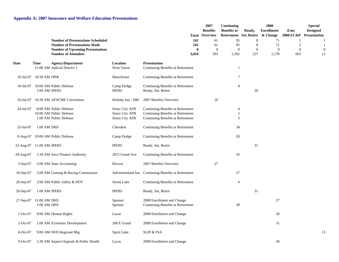|                  |                             |                                                                                                                                                          |                                                    | Total                                                                                                       | 2007<br><b>Benefits</b><br>Overview | Continuing<br><b>Benefits at</b><br>Retirement Set, Retire | Ready,                            | 2008<br><b>Enrollment</b><br>& Change | iLinc<br>2008 EC&P                | <b>Special</b><br><b>Designed</b><br><b>Presentation</b> |
|------------------|-----------------------------|----------------------------------------------------------------------------------------------------------------------------------------------------------|----------------------------------------------------|-------------------------------------------------------------------------------------------------------------|-------------------------------------|------------------------------------------------------------|-----------------------------------|---------------------------------------|-----------------------------------|----------------------------------------------------------|
|                  |                             | <b>Number of Presentations Scheduled</b><br><b>Number of Presentations Made</b><br><b>Number of Upcoming Presentations</b><br><b>Number of Attendees</b> |                                                    | 241<br>241<br>$\mathbf{0}$<br>3,816                                                                         | 61<br>61<br>$\boldsymbol{0}$<br>393 | 95<br>95<br>$\overline{0}$<br>1,392                        | 8<br>8<br>$\boldsymbol{0}$<br>237 | 71<br>71<br>$\overline{0}$<br>1,178   | 5<br>5<br>$\boldsymbol{0}$<br>603 | 13                                                       |
| <b>Date</b>      | <b>Time</b>                 | <b>Agency/Department</b><br>11:00 AM Judicial District 1                                                                                                 | Location<br>West Union                             | <b>Presentation</b><br>Continuing Benefits at Retirement                                                    |                                     | 1                                                          |                                   |                                       |                                   |                                                          |
| 10-Jul-07        | 10:30 AM DNR                |                                                                                                                                                          | Manchester                                         | Continuing Benefits at Retirement                                                                           |                                     | 7                                                          |                                   |                                       |                                   |                                                          |
| 18-Jul-07        | 1:00 AM IPERS               | 10:00 AM Public Defense                                                                                                                                  | Camp Dodge<br><b>IPERS</b>                         | Continuing Benefits at Retirement<br>Ready, Set, Retire                                                     |                                     | $\,8\,$                                                    | 20                                |                                       |                                   |                                                          |
| 20-Jul-07        |                             | 10:30 AM AFSCME Convention                                                                                                                               | Holiday Inn - DM                                   | 2007 Benefits Overview                                                                                      | 10                                  |                                                            |                                   |                                       |                                   |                                                          |
| 24-Jul-07        |                             | 8:00 AM Public Defense<br>10:00 AM Public Defense<br>1:00 AM Public Defense                                                                              | Sioux City AFB<br>Sioux City AFB<br>Sioux City AFB | Continuing Benefits at Retirement<br>Continuing Benefits at Retirement<br>Continuing Benefits at Retirement |                                     | 4<br>5<br>3                                                |                                   |                                       |                                   |                                                          |
| $25 -$ Jul $-07$ | 1:00 AM DHS                 |                                                                                                                                                          | Cherokee                                           | Continuing Benefits at Retirement                                                                           |                                     | 34                                                         |                                   |                                       |                                   |                                                          |
| 8-Aug-07         |                             | 10:00 AM Public Defense                                                                                                                                  | Camp Dodge                                         | Continuing Benefits at Retirement                                                                           |                                     | 20                                                         |                                   |                                       |                                   |                                                          |
| 22-Aug-07        | 11:00 AM IPERS              |                                                                                                                                                          | <b>IPERS</b>                                       | Ready, Set, Retire                                                                                          |                                     |                                                            | 31                                |                                       |                                   |                                                          |
| 28-Aug-07        |                             | 1:30 AM Iowa Finance Authority                                                                                                                           | 2015 Grand Ave                                     | Continuing Benefits at Retirement                                                                           |                                     | 16                                                         |                                   |                                       |                                   |                                                          |
| $5-Sep-07$       |                             | 2:00 AM State Accounting                                                                                                                                 | Hoover                                             | 2007 Benefits Overview                                                                                      | 27                                  |                                                            |                                   |                                       |                                   |                                                          |
| $10-Sep-07$      |                             | 2:00 AM Gaming & Racing Commission                                                                                                                       |                                                    | Adventureland Inn Continuing Benefits at Retirement                                                         |                                     | 57                                                         |                                   |                                       |                                   |                                                          |
| $20-Sep-07$      |                             | 2:00 AM Public Safety & DOT                                                                                                                              | Storm Lake                                         | Continuing Benefits at Retirement                                                                           |                                     | 6                                                          |                                   |                                       |                                   |                                                          |
| 26-Sep-07        | 1:00 AM IPERS               |                                                                                                                                                          | <b>IPERS</b>                                       | Ready, Set, Retire                                                                                          |                                     |                                                            | 31                                |                                       |                                   |                                                          |
| $27-Sep-07$      | 11:00 AM DHS<br>1:00 AM DHS |                                                                                                                                                          | Spenser<br>Spenser                                 | 2008 Enrollment and Change<br>Continuing Benefits at Retirement                                             |                                     | 28                                                         |                                   | $27\,$                                |                                   |                                                          |
| $1-Oct-07$       |                             | 9:00 AM Human Rights                                                                                                                                     | Lucas                                              | 2008 Enrollment and Change                                                                                  |                                     |                                                            |                                   | 30                                    |                                   |                                                          |
| $2$ -Oct-07      |                             | 1:00 AM Economic Development                                                                                                                             | 200 E Grand                                        | 2008 Enrollment and Change                                                                                  |                                     |                                                            |                                   | 31                                    |                                   |                                                          |
| $8-Oct-07$       |                             | 9:00 AM IWD Regional Mtg                                                                                                                                 | Spirit Lake                                        | <b>SLIP &amp; FSA</b>                                                                                       |                                     |                                                            |                                   |                                       |                                   | 13                                                       |
| $9-Oct-07$       |                             | 1:30 AM Inspect/Appeals & Public Health                                                                                                                  | Lucas                                              | 2008 Enrollment and Change                                                                                  |                                     |                                                            |                                   | 30                                    |                                   |                                                          |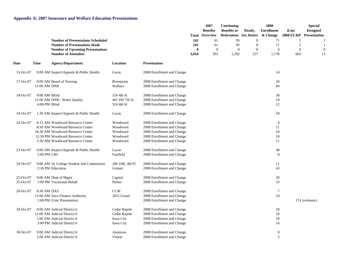|                        |                                |                                                                                                                                                                                    |                                                               |                                                                                                                                                    |                       | 2007<br><b>Benefits</b><br><b>Total Overview</b> | Continuing<br><b>Benefits at</b><br>Retirement Set, Retire | Ready,                | 2008<br><b>Enrollment</b><br>& Change    | iLinc<br>2008 EC&P    | <b>Special</b><br><b>Designed</b><br>Presentation |
|------------------------|--------------------------------|------------------------------------------------------------------------------------------------------------------------------------------------------------------------------------|---------------------------------------------------------------|----------------------------------------------------------------------------------------------------------------------------------------------------|-----------------------|--------------------------------------------------|------------------------------------------------------------|-----------------------|------------------------------------------|-----------------------|---------------------------------------------------|
|                        |                                | <b>Number of Presentations Scheduled</b><br><b>Number of Presentations Made</b>                                                                                                    |                                                               |                                                                                                                                                    | 241<br>241            | 61<br>61                                         | 95<br>95                                                   | 8<br>$\,8\,$          | 71<br>71                                 | 5<br>5                |                                                   |
|                        |                                | <b>Number of Upcoming Presentations</b><br><b>Number of Attendees</b>                                                                                                              |                                                               |                                                                                                                                                    | $\mathbf{0}$<br>3,816 | $\mathbf{0}$<br>393                              | $\theta$<br>1,392                                          | $\overline{0}$<br>237 | $\theta$<br>1,178                        | $\overline{0}$<br>603 | 13                                                |
| Date                   | <b>Time</b>                    | <b>Agency/Department</b>                                                                                                                                                           | Location                                                      | <b>Presentation</b>                                                                                                                                |                       |                                                  |                                                            |                       |                                          |                       |                                                   |
| 15-Oct-07              |                                | 9:00 AM Inspect/Appeals & Public Health                                                                                                                                            | Lucas                                                         | 2008 Enrollment and Change                                                                                                                         |                       |                                                  |                                                            |                       | 14                                       |                       |                                                   |
| 17-Oct-07              | 11:00 AM DNR                   | 9:00 AM Board of Nursing                                                                                                                                                           | Riverpoint<br>Wallace                                         | 2008 Enrollment and Change<br>2008 Enrollment and Change                                                                                           |                       |                                                  |                                                            |                       | 20<br>84                                 |                       |                                                   |
| 18-Oct-07              | 9:00 AM Blind<br>4:00 PM Blind | 11:00 AM DNR - Water Quality                                                                                                                                                       | 524 4th St<br>401 SW 7th St<br>524 4th St                     | 2008 Enrollment and Change<br>2008 Enrollment and Change<br>2008 Enrollment and Change                                                             |                       |                                                  |                                                            |                       | 38<br>19<br>12                           |                       |                                                   |
| 19-Oct-07              |                                | 1:30 AM Inspect/Appeals & Public Health                                                                                                                                            | Lucas                                                         | 2008 Enrollment and Change                                                                                                                         |                       |                                                  |                                                            |                       | 18                                       |                       |                                                   |
| 22-Oct-07              |                                | 6:15 AM Woodward Resource Center<br>8:30 AM Woodward Resource Center<br>10:30 AM Woodward Resource Center<br>12:30 PM Woodward Resource Center<br>2:30 AM Woodward Resource Center | Woodward<br>Woodward<br>Woodward<br>Woodward<br>Woodward      | 2008 Enrollment and Change<br>2008 Enrollment and Change<br>2008 Enrollment and Change<br>2008 Enrollment and Change<br>2008 Enrollment and Change |                       |                                                  |                                                            |                       | $\boldsymbol{0}$<br>11<br>24<br>10<br>11 |                       |                                                   |
| $23-Oct-07$            | 1:00 PM CBC                    | 9:00 AM Inspect/Appeals & Public Health                                                                                                                                            | Lucas<br>Fairfield                                            | 2008 Enrollment and Change<br>2008 Enrollment and Change                                                                                           |                       |                                                  |                                                            |                       | 40<br>8                                  |                       |                                                   |
| 24-Oct-07              |                                | 9:00 AM IA College Student Aid Commission<br>2:30 PM Education                                                                                                                     | 200 10th, 4th Fl<br>Grimes                                    | 2008 Enrollment and Change<br>2008 Enrollment and Change                                                                                           |                       |                                                  |                                                            |                       | 11<br>43                                 |                       |                                                   |
| 25-Oct-07<br>25-Oct-07 |                                | 9:00 AM Dept of Mgmt<br>1:00 PM Vocational Rehab                                                                                                                                   | Capital<br>Parker                                             | 2008 Enrollment and Change<br>2008 Enrollment and Change                                                                                           |                       |                                                  |                                                            |                       | 20<br>23                                 |                       |                                                   |
| 26-Oct-07              | 8:30 AM DAS                    | 11:00 AM Iowa Finance Authority<br>1:00 PM iLinc Presentation                                                                                                                      | <b>CCM</b><br>2015 Grand                                      | 2008 Enrollment and Change<br>2008 Enrollment and Change<br>2008 Enrollment and Change                                                             |                       |                                                  |                                                            |                       | $\overline{7}$<br>24                     |                       | 174 (estimate)                                    |
| 29-Oct-07              |                                | 9:00 AM Judicial District 6<br>11:00 AM Judicial District 6<br>1:00 AM Judicial District 6<br>3:00 PM Judicial District 6                                                          | Cedar Rapids<br>Cedar Rapids<br>Iowa City<br><b>Iowa City</b> | 2008 Enrollment and Change<br>2008 Enrollment and Change<br>2008 Enrollment and Change<br>2008 Enrollment and Change                               |                       |                                                  |                                                            |                       | 20<br>18<br>18<br>16                     |                       |                                                   |
| 30-Oct-07              |                                | 9:00 AM Judicial District 6<br>1:00 AM Judicial District 6                                                                                                                         | Anamosa<br>Vinton                                             | 2008 Enrollment and Change<br>2008 Enrollment and Change                                                                                           |                       |                                                  |                                                            |                       | 8<br>5                                   |                       |                                                   |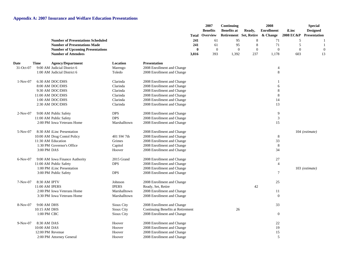|            |                  |                                                                       |              |                                   | Total             | 2007<br><b>Benefits</b><br>Overview<br>61 | Continuing<br><b>Benefits at</b><br>Retirement Set, Retire | Ready,                | 2008<br><b>Enrollment</b><br>& Change | iLinc<br><b>2008 EC&amp;P</b> | <b>Special</b><br><b>Designed</b><br>Presentation |
|------------|------------------|-----------------------------------------------------------------------|--------------|-----------------------------------|-------------------|-------------------------------------------|------------------------------------------------------------|-----------------------|---------------------------------------|-------------------------------|---------------------------------------------------|
|            |                  | <b>Number of Presentations Scheduled</b>                              |              |                                   | 241               |                                           | 95                                                         | 8                     | 71                                    | 5                             |                                                   |
|            |                  | <b>Number of Presentations Made</b>                                   |              |                                   | 241               | 61                                        | 95                                                         | 8                     | 71                                    | 5                             |                                                   |
|            |                  | <b>Number of Upcoming Presentations</b><br><b>Number of Attendees</b> |              |                                   | $\bf{0}$<br>3,816 | $\mathbf{0}$<br>393                       | $\theta$<br>1,392                                          | $\overline{0}$<br>237 | $\overline{0}$<br>1,178               | $\overline{0}$<br>603         | 13                                                |
| Date       | <b>Time</b>      | <b>Agency/Department</b>                                              | Location     | <b>Presentation</b>               |                   |                                           |                                                            |                       |                                       |                               |                                                   |
| 31-Oct-07  |                  | 9:00 AM Judicial District 6                                           | Marengo      | 2008 Enrollment and Change        |                   |                                           |                                                            |                       | $\overline{4}$                        |                               |                                                   |
|            |                  | 1:00 AM Judicial District 6                                           | Toledo       | 2008 Enrollment and Change        |                   |                                           |                                                            |                       | $\,8\,$                               |                               |                                                   |
| $1-Nov-07$ |                  | 6:30 AM DOC/DHS                                                       | Clarinda     | 2008 Enrollment and Change        |                   |                                           |                                                            |                       | $\overline{1}$                        |                               |                                                   |
|            |                  | 8:00 AM DOC/DHS                                                       | Clarinda     | 2008 Enrollment and Change        |                   |                                           |                                                            |                       | 6                                     |                               |                                                   |
|            |                  | 9:30 AM DOC/DHS                                                       | Clarinda     | 2008 Enrollment and Change        |                   |                                           |                                                            |                       | 8                                     |                               |                                                   |
|            |                  | 11:00 AM DOC/DHS                                                      | Clarinda     | 2008 Enrollment and Change        |                   |                                           |                                                            |                       | 8                                     |                               |                                                   |
|            |                  | 1:00 AM DOC/DHS                                                       | Clarinda     | 2008 Enrollment and Change        |                   |                                           |                                                            |                       | 14                                    |                               |                                                   |
|            |                  | 2:30 AM DOC/DHS                                                       | Clarinda     | 2008 Enrollment and Change        |                   |                                           |                                                            |                       | 13                                    |                               |                                                   |
| $2-Nov-07$ |                  | 9:00 AM Public Safety                                                 | <b>DPS</b>   | 2008 Enrollment and Change        |                   |                                           |                                                            |                       | 9                                     |                               |                                                   |
|            |                  | 11:00 AM Public Safety                                                | <b>DPS</b>   | 2008 Enrollment and Change        |                   |                                           |                                                            |                       | $\ensuremath{\mathfrak{Z}}$           |                               |                                                   |
|            |                  | 2:00 PM Iowa Veterans Home                                            | Marshalltown | 2008 Enrollment and Change        |                   |                                           |                                                            |                       | 15                                    |                               |                                                   |
| $5-Nov-07$ |                  | 8:30 AM iLinc Presentation                                            |              | 2008 Enrollment and Change        |                   |                                           |                                                            |                       |                                       |                               | $104$ (estimate)                                  |
|            |                  | 10:00 AM Drug Contol Policy                                           | 401 SW 7th   | 2008 Enrollment and Change        |                   |                                           |                                                            |                       | 8                                     |                               |                                                   |
|            |                  | 11:30 AM Education                                                    | Grimes       | 2008 Enrollment and Change        |                   |                                           |                                                            |                       | 33                                    |                               |                                                   |
|            |                  | 1:30 PM Governor's Office                                             | Capitol      | 2008 Enrollment and Change        |                   |                                           |                                                            |                       | 8                                     |                               |                                                   |
|            | 3:00 PM DAS      |                                                                       | Hoover       | 2008 Enrollment and Change        |                   |                                           |                                                            |                       | 34                                    |                               |                                                   |
| $6-Nov-07$ |                  | 9:00 AM Iowa Finance Authority                                        | 2015 Grand   | 2008 Enrollment and Change        |                   |                                           |                                                            |                       | 27                                    |                               |                                                   |
|            |                  | 11:00 AM Public Safety                                                | <b>DPS</b>   | 2008 Enrollment and Change        |                   |                                           |                                                            |                       | $\overline{4}$                        |                               |                                                   |
|            |                  | 1:00 PM iLinc Presentation                                            |              | 2008 Enrollment and Change        |                   |                                           |                                                            |                       |                                       |                               | 103 (estimate)                                    |
|            |                  | 3:00 PM Public Safety                                                 | <b>DPS</b>   | 2008 Enrollment and Change        |                   |                                           |                                                            |                       | $\tau$                                |                               |                                                   |
| $7-Nov-07$ | 8:30 AM IPTV     |                                                                       | Johnson      | 2008 Enrollment and Change        |                   |                                           |                                                            |                       | 25                                    |                               |                                                   |
|            | 11:00 AM IPERS   |                                                                       | <b>IPERS</b> | Ready, Set, Retire                |                   |                                           |                                                            | 42                    |                                       |                               |                                                   |
|            |                  | 2:00 PM Iowa Veterans Home                                            | Marshalltown | 2008 Enrollment and Change        |                   |                                           |                                                            |                       | 11                                    |                               |                                                   |
|            |                  | 3:30 PM Iowa Veterans Home                                            | Marshalltown | 2008 Enrollment and Change        |                   |                                           |                                                            |                       | $\mathbf{0}$                          |                               |                                                   |
| 8-Nov-07   | 9:00 AM DHS      |                                                                       | Sioux City   | 2008 Enrollment and Change        |                   |                                           |                                                            |                       | 33                                    |                               |                                                   |
|            | 10:15 AM DHS     |                                                                       | Sioux City   | Continuing Benefits at Retirement |                   |                                           | 26                                                         |                       |                                       |                               |                                                   |
|            | 1:00 PM CBC      |                                                                       | Sioux City   | 2008 Enrollment and Change        |                   |                                           |                                                            |                       | $\boldsymbol{0}$                      |                               |                                                   |
| $9-Nov-07$ | 8:30 AM DAS      |                                                                       | Hoover       | 2008 Enrollment and Change        |                   |                                           |                                                            |                       | 22                                    |                               |                                                   |
|            | 10:00 AM DAS     |                                                                       | Hoover       | 2008 Enrollment and Change        |                   |                                           |                                                            |                       | 19                                    |                               |                                                   |
|            | 12:00 PM Revenue |                                                                       | Hoover       | 2008 Enrollment and Change        |                   |                                           |                                                            |                       | 15                                    |                               |                                                   |
|            |                  | 2:00 PM Attorney General                                              | Hoover       | 2008 Enrollment and Change        |                   |                                           |                                                            |                       | 5                                     |                               |                                                   |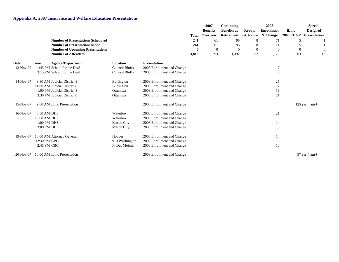|             |              |                                          |                       |                            | Total | 2007<br><b>Benefits</b><br>Overview | Continuing<br><b>Benefits at</b><br>Retirement Set, Retire | Ready,   | 2008<br><b>Enrollment</b><br>& Change | iLinc<br>2008 EC&P | <b>Special</b><br><b>Designed</b><br><b>Presentation</b> |
|-------------|--------------|------------------------------------------|-----------------------|----------------------------|-------|-------------------------------------|------------------------------------------------------------|----------|---------------------------------------|--------------------|----------------------------------------------------------|
|             |              | <b>Number of Presentations Scheduled</b> |                       |                            | 241   | 61                                  | 95                                                         | 8        | 71                                    | 5                  |                                                          |
|             |              | <b>Number of Presentations Made</b>      |                       |                            | 241   | 61                                  | 95                                                         | 8        | 71                                    | 5                  |                                                          |
|             |              | <b>Number of Upcoming Presentations</b>  |                       |                            | 0     | $\overline{0}$                      | 0                                                          | $\theta$ | $\theta$                              | $\Omega$           |                                                          |
|             |              | <b>Number of Attendees</b>               |                       |                            | 3,816 | 393                                 | 1,392                                                      | 237      | 1,178                                 | 603                | 13                                                       |
| <b>Date</b> | <b>Time</b>  | <b>Agency/Department</b>                 | Location              | <b>Presentation</b>        |       |                                     |                                                            |          |                                       |                    |                                                          |
| 13-Nov-07   |              | 1:45 PM School for the Deaf              | <b>Council Bluffs</b> | 2008 Enrollment and Change |       |                                     |                                                            |          | 17                                    |                    |                                                          |
|             |              | 3:15 PM School for the Deaf              | <b>Council Bluffs</b> | 2008 Enrollment and Change |       |                                     |                                                            |          | 10                                    |                    |                                                          |
| 14-Nov-07   |              | 8:30 AM Judicial District 8              | Burlington            | 2008 Enrollment and Change |       |                                     |                                                            |          | 25                                    |                    |                                                          |
|             |              | 11:00 AM Judicial District 8             | Burlington            | 2008 Enrollment and Change |       |                                     |                                                            |          | 17                                    |                    |                                                          |
|             |              | 1:00 PM Judicial District 8              | Ottumwa               | 2008 Enrollment and Change |       |                                     |                                                            |          | 16                                    |                    |                                                          |
|             |              | 3:30 PM Judicial District 8              | Ottumwa               | 2008 Enrollment and Change |       |                                     |                                                            |          | 21                                    |                    |                                                          |
| 15-Nov-07   |              | 9:00 AM iLinc Presentation               |                       | 2008 Enrollment and Change |       |                                     |                                                            |          |                                       |                    | 125 (estimate)                                           |
| 16-Nov-07   | 8:30 AM DHS  |                                          | Waterloo              | 2008 Enrollment and Change |       |                                     |                                                            |          | 21                                    |                    |                                                          |
|             | 10:00 AM DHS |                                          | Waterloo              | 2008 Enrollment and Change |       |                                     |                                                            |          | 10                                    |                    |                                                          |
|             | 1:00 PM DHS  |                                          | <b>Mason City</b>     | 2008 Enrollment and Change |       |                                     |                                                            |          | 14                                    |                    |                                                          |
|             | 3:00 PM DHS  |                                          | <b>Mason City</b>     | 2008 Enrollment and Change |       |                                     |                                                            |          | 10                                    |                    |                                                          |
| 19-Nov-07   |              | 10:00 AM Attorney General                | Hoover                | 2008 Enrollment and Change |       |                                     |                                                            |          | 14                                    |                    |                                                          |
|             | 12:30 PM CBC |                                          | 910 Washington        | 2008 Enrollment and Change |       |                                     |                                                            |          | 13                                    |                    |                                                          |
|             | 2:45 PM CBC  |                                          | <b>Ft Des Moines</b>  | 2008 Enrollment and Change |       |                                     |                                                            |          | 10                                    |                    |                                                          |
| $20-Nov-07$ |              | 10:00 AM iLinc Presentation              |                       | 2008 Enrollment and Change |       |                                     |                                                            |          |                                       |                    | 97 (estimate)                                            |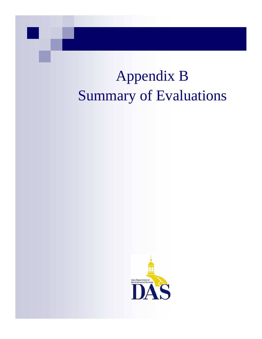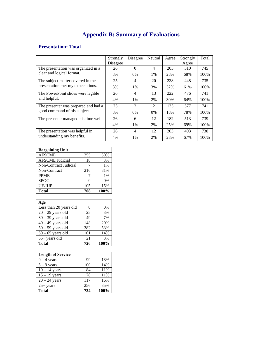#### **Presentation: Total**

|                                      | Strongly | Disagree       | Neutral        | Agree | Strongly | Total |
|--------------------------------------|----------|----------------|----------------|-------|----------|-------|
|                                      | Disagree |                |                |       | Agree    |       |
| The presentation was organized in a  | 26       | $\Omega$       | 4              | 205   | 510      | 745   |
| clear and logical format.            | 3%       | $0\%$          | 1%             | 28%   | 68%      | 100%  |
| The subject matter covered in the    | 25       | 4              | 20             | 238   | 448      | 735   |
| presentation met my expectations.    | 3%       | $1\%$          | 3%             | 32%   | 61%      | 100%  |
| The PowerPoint slides were legible   | 26       | 4              | 13             | 222   | 476      | 741   |
| and helpful.                         | 4%       | $1\%$          | 2%             | 30%   | 64%      | 100%  |
| The presenter was prepared and had a | 25       | $\mathfrak{D}$ | $\mathfrak{D}$ | 135   | 577      | 741   |
| good command of his subject.         | 3%       | $0\%$          | $0\%$          | 18%   | 78%      | 100%  |
| The presenter managed his time well. | 26       | 6              | 12             | 182   | 513      | 739   |
|                                      | 4%       | $1\%$          | 2%             | 25%   | 69%      | 100%  |
| The presentation was helpful in      | 26       | 4              | 12             | 203   | 493      | 738   |
| understanding my benefits.           | 4%       | $1\%$          | 2%             | 28%   | 67%      | 100%  |

| <b>Bargaining Unit</b> |     |      |
|------------------------|-----|------|
| <b>AFSCME</b>          | 355 | 50%  |
| <b>AFSCME</b> Judicial | 18  | 3%   |
| Non-Contract Judicial  |     | 1%   |
| Non-Contract           | 216 | 31%  |
| <b>PPME</b>            |     | 1%   |
| <b>SPOC</b>            |     | 0%   |
| <b>UE/IUP</b>          | 105 | 15%  |
| <b>Total</b>           | 708 | 100% |

| Age                    |     |      |
|------------------------|-----|------|
| Less than 20 years old | 0   | 0%   |
| $20 - 29$ years old    | 25  | 3%   |
| $30 - 39$ years old    | 49  | 7%   |
| $40 - 49$ years old    | 148 | 20%  |
| $50 - 59$ years old    | 382 | 53%  |
| $60 - 65$ years old    | 101 | 14%  |
| $65+$ years old        | 21  | 3%   |
| <b>Total</b>           | 726 | 100% |

| <b>Length of Service</b> |     |      |
|--------------------------|-----|------|
| $0 - 4$ years            | 99  | 13%  |
| $5 - 9$ years            | 100 | 14%  |
| $10 - 14$ years          | 84  | 11%  |
| $15 - 19$ years          | 78  | 11%  |
| $20 - 24$ years          | 117 | 16%  |
| $25+$ years              | 256 | 35%  |
| <b>Total</b>             | 734 | 100% |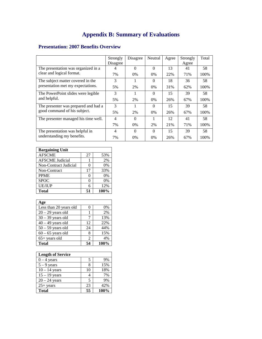#### **Presentation: 2007 Benefits Overview**

|                                      | Strongly       | Disagree | Neutral  | Agree | Strongly | Total |
|--------------------------------------|----------------|----------|----------|-------|----------|-------|
|                                      | Disagree       |          |          |       | Agree    |       |
| The presentation was organized in a  |                | $\Omega$ | $\Omega$ | 13    | 41       | 58    |
| clear and logical format.            | 7%             | $0\%$    | $0\%$    | 22%   | 71%      | 100%  |
| The subject matter covered in the    | 3              |          | $\Omega$ | 18    | 36       | 58    |
| presentation met my expectations.    | 5%             | 2%       | $0\%$    | 31%   | 62%      | 100%  |
| The PowerPoint slides were legible   | 3              |          | $\Omega$ | 15    | 39       | 58    |
| and helpful.                         | 5%             | 2%       | $0\%$    | 26%   | 67%      | 100%  |
| The presenter was prepared and had a | $\mathcal{R}$  |          | $\Omega$ | 15    | 39       | 58    |
| good command of his subject.         | 5%             | 2%       | $0\%$    | 26%   | 67%      | 100%  |
| The presenter managed his time well. | 4              | $\Omega$ |          | 12    | 41       | 58    |
|                                      | 7%             | $0\%$    | 2%       | 21\%  | 71%      | 100%  |
| The presentation was helpful in      | $\overline{4}$ | $\Omega$ | $\Omega$ | 15    | 39       | 58    |
| understanding my benefits.           | 7%             | $0\%$    | $0\%$    | 26%   | 67%      | 100%  |

| <b>Bargaining Unit</b> |    |       |
|------------------------|----|-------|
| <b>AFSCME</b>          | 27 | 53%   |
| <b>AFSCME</b> Judicial |    | 2%    |
| Non-Contract Judicial  | 0  | 0%    |
| Non-Contract           | 17 | 33%   |
| <b>PPME</b>            |    | 0%    |
| <b>SPOC</b>            | 0  | $0\%$ |
| <b>UE/IUP</b>          | 6  | 12%   |
| <b>Total</b>           | 51 | 100%  |

| Age                    |               |      |
|------------------------|---------------|------|
| Less than 20 years old |               | 0%   |
| $20 - 29$ years old    |               | 2%   |
| $30 - 39$ years old    | 7             | 13%  |
| $40 - 49$ years old    | 12            | 22%  |
| $50 - 59$ years old    | 24            | 44%  |
| $60 - 65$ years old    | 8             | 15%  |
| $65+$ years old        | $\mathcal{L}$ | 4%   |
| <b>Total</b>           |               | 100% |

| <b>Length of Service</b> |    |      |
|--------------------------|----|------|
| $0 - 4$ years            |    | 9%   |
| $5 - 9$ years            |    | 15%  |
| $10 - 14$ years          | 10 | 18%  |
| $15 - 19$ years          |    | 7%   |
| $20 - 24$ years          | 5  | 9%   |
| $25+ years$              | 23 | 42%  |
| <b>Total</b>             | 55 | 100% |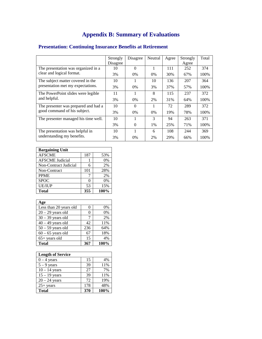|                                      | Strongly | Disagree | Neutral | Agree | Strongly | Total |
|--------------------------------------|----------|----------|---------|-------|----------|-------|
|                                      | Disagree |          |         |       | Agree    |       |
| The presentation was organized in a  | 10       | $\Omega$ | 1       | 111   | 252      | 374   |
| clear and logical format.            | 3%       | $0\%$    | $0\%$   | 30%   | 67%      | 100%  |
| The subject matter covered in the    | 10       |          | 10      | 136   | 207      | 364   |
| presentation met my expectations.    | 3%       | $0\%$    | 3%      | 37%   | 57%      | 100%  |
| The PowerPoint slides were legible   | 11       |          | 8       | 115   | 237      | 372   |
| and helpful.                         | 3%       | $0\%$    | 2%      | 31%   | 64%      | 100%  |
| The presenter was prepared and had a | 10       | $\Omega$ |         | 72    | 289      | 372   |
| good command of his subject.         | 3%       | $0\%$    | $0\%$   | 19%   | 78%      | 100%  |
| The presenter managed his time well. | 10       |          | 3       | 94    | 263      | 371   |
|                                      | 3%       | $\Omega$ | $1\%$   | 25%   | 71%      | 100%  |
| The presentation was helpful in      | 10       |          | 6       | 108   | 244      | 369   |
| understanding my benefits.           | 3%       | 0%       | 2%      | 29%   | 66%      | 100%  |

## **Presentation: Continuing Insurance Benefits at Retirement**

| <b>Bargaining Unit</b> |          |       |  |  |
|------------------------|----------|-------|--|--|
| <b>AFSCME</b>          | 187      | 53%   |  |  |
| <b>AFSCME</b> Judicial |          | $0\%$ |  |  |
| Non-Contract Judicial  | 6        | 2%    |  |  |
| Non-Contract           | 101      | 28%   |  |  |
| <b>PPME</b>            |          | 2%    |  |  |
| <b>SPOC</b>            | $^{(1)}$ | 0%    |  |  |
| <b>UE/IUP</b>          | 53       | 15%   |  |  |
| <b>Total</b>           | 355      | 100%  |  |  |

| Age                    |     |      |
|------------------------|-----|------|
| Less than 20 years old | 0   | 0%   |
| $20 - 29$ years old    | 0   | 0%   |
| $30 - 39$ years old    | 7   | 2%   |
| $40 - 49$ years old    | 42  | 11%  |
| $50 - 59$ years old    | 236 | 64%  |
| $60 - 65$ years old    | 67  | 18%  |
| $65+$ years old        | 15  | 4%   |
| <b>Total</b>           | 367 | 100% |

| <b>Length of Service</b> |     |      |
|--------------------------|-----|------|
| $0 - 4$ years            | 15  | 4%   |
| $5 - 9$ years            | 39  | 11%  |
| $10 - 14$ years          | 27  | 7%   |
| $15 - 19$ years          | 39  | 11%  |
| $20 - 24$ years          | 72  | 19%  |
| $25+$ years              | 178 | 48%  |
| Total                    | 370 | 100% |